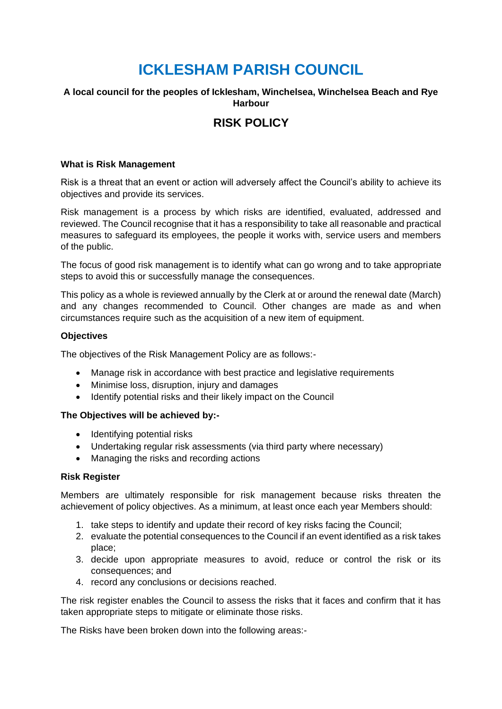# **ICKLESHAM PARISH COUNCIL**

## **A local council for the peoples of Icklesham, Winchelsea, Winchelsea Beach and Rye Harbour**

# **RISK POLICY**

#### **What is Risk Management**

Risk is a threat that an event or action will adversely affect the Council's ability to achieve its objectives and provide its services.

Risk management is a process by which risks are identified, evaluated, addressed and reviewed. The Council recognise that it has a responsibility to take all reasonable and practical measures to safeguard its employees, the people it works with, service users and members of the public.

The focus of good risk management is to identify what can go wrong and to take appropriate steps to avoid this or successfully manage the consequences.

This policy as a whole is reviewed annually by the Clerk at or around the renewal date (March) and any changes recommended to Council. Other changes are made as and when circumstances require such as the acquisition of a new item of equipment.

#### **Objectives**

The objectives of the Risk Management Policy are as follows:-

- Manage risk in accordance with best practice and legislative requirements
- Minimise loss, disruption, injury and damages
- Identify potential risks and their likely impact on the Council

#### **The Objectives will be achieved by:-**

- Identifying potential risks
- Undertaking regular risk assessments (via third party where necessary)
- Managing the risks and recording actions

#### **Risk Register**

Members are ultimately responsible for risk management because risks threaten the achievement of policy objectives. As a minimum, at least once each year Members should:

- 1. take steps to identify and update their record of key risks facing the Council;
- 2. evaluate the potential consequences to the Council if an event identified as a risk takes place;
- 3. decide upon appropriate measures to avoid, reduce or control the risk or its consequences; and
- 4. record any conclusions or decisions reached.

The risk register enables the Council to assess the risks that it faces and confirm that it has taken appropriate steps to mitigate or eliminate those risks.

The Risks have been broken down into the following areas:-